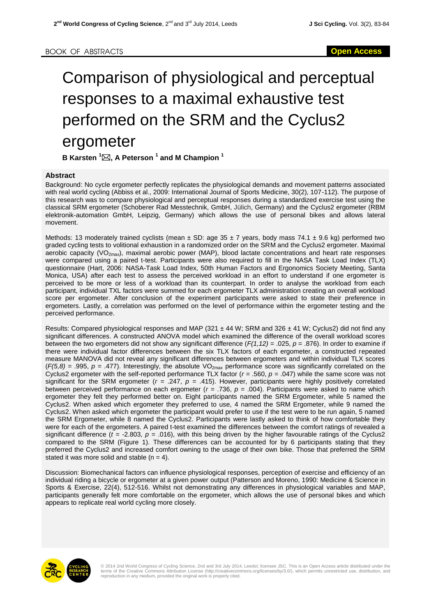## Comparison of physiological and perceptual responses to a maximal exhaustive test performed on the SRM and the Cyclus2 ergometer

**B Karsten <sup>1</sup>, A Peterson <sup>1</sup> and M Champion <sup>1</sup>**

## **Abstract**

Background: No cycle ergometer perfectly replicates the physiological demands and movement patterns associated with real world cycling (Abbiss et al., 2009: International Journal of Sports Medicine, 30(2), 107-112). The purpose of this research was to compare physiological and perceptual responses during a standardized exercise test using the classical SRM ergometer (Schoberer Rad Messtechnik, GmbH, Jülich, Germany) and the Cyclus2 ergometer (RBM elektronik-automation GmbH, Leipzig, Germany) which allows the use of personal bikes and allows lateral movement.

Methods: 13 moderately trained cyclists (mean  $\pm$  SD: age 35  $\pm$  7 years, body mass 74.1  $\pm$  9.6 kg) performed two graded cycling tests to volitional exhaustion in a randomized order on the SRM and the Cyclus2 ergometer. Maximal aerobic capacity (VO<sub>2max</sub>), maximal aerobic power (MAP), blood lactate concentrations and heart rate responses were compared using a paired t-test. Participants were also required to fill in the NASA Task Load Index (TLX) questionnaire (Hart, 2006: NASA-Task Load Index, 50th Human Factors and Ergonomics Society Meeting, Santa Monica, USA) after each test to assess the perceived workload in an effort to understand if one ergometer is perceived to be more or less of a workload than its counterpart. In order to analyse the workload from each participant, individual TXL factors were summed for each ergometer TLX administration creating an overall workload score per ergometer. After conclusion of the experiment participants were asked to state their preference in ergometers. Lastly, a correlation was performed on the level of performance within the ergometer testing and the perceived performance.

Results: Compared physiological responses and MAP (321  $\pm$  44 W; SRM and 326  $\pm$  41 W; Cyclus2) did not find any significant differences. A constructed ANOVA model which examined the difference of the overall workload scores between the two ergometers did not show any significant difference (*F(1,12) =* .025, *p* = .876). In order to examine if there were individual factor differences between the six TLX factors of each ergometer, a constructed repeated measure MANOVA did not reveal any significant differences between ergometers and within individual TLX scores  $(F(5,8) = .995, p = .477)$ . Interestingly, the absolute VO<sub>2max</sub> performance score was significantly correlated on the Cyclus2 ergometer with the self-reported performance TLX factor (*r =* .560, *p =* .047) while the same score was not significant for the SRM ergometer (*r =* .247, *p =* .415). However, participants were highly positively correlated between perceived performance on each ergometer (*r =* .736, *p =* .004). Participants were asked to name which ergometer they felt they performed better on. Eight participants named the SRM Ergometer, while 5 named the Cyclus2. When asked which ergometer they preferred to use, 4 named the SRM Ergometer, while 9 named the Cyclus2. When asked which ergometer the participant would prefer to use if the test were to be run again, 5 named the SRM Ergometer, while 8 named the Cyclus2. Participants were lastly asked to think of how comfortable they were for each of the ergometers. A paired t-test examined the differences between the comfort ratings of revealed a significant difference ( $t = -2.803$ ,  $p = .016$ ), with this being driven by the higher favourable ratings of the Cyclus2 compared to the SRM (Figure 1). These differences can be accounted for by 6 participants stating that they preferred the Cyclus2 and increased comfort owning to the usage of their own bike. Those that preferred the SRM stated it was more solid and stable  $(n = 4)$ .

Discussion: Biomechanical factors can influence physiological responses, perception of exercise and efficiency of an individual riding a bicycle or ergometer at a given power output (Patterson and Moreno, 1990: Medicine & Science in Sports & Exercise, 22(4), 512-516. Whilst not demonstrating any differences in physiological variables and MAP, participants generally felt more comfortable on the ergometer, which allows the use of personal bikes and which appears to replicate real world cycling more closely.



© 2014 2nd World Congress of Cycling Science, 2nd and 3rd July 2014, Leedst; licensee JSC. This is an Open Access article distributed under the<br>terms of the Creative Commons Attribution License (http://creativecommons.org/ reproduction in any medium, provided the original work is properly cited.